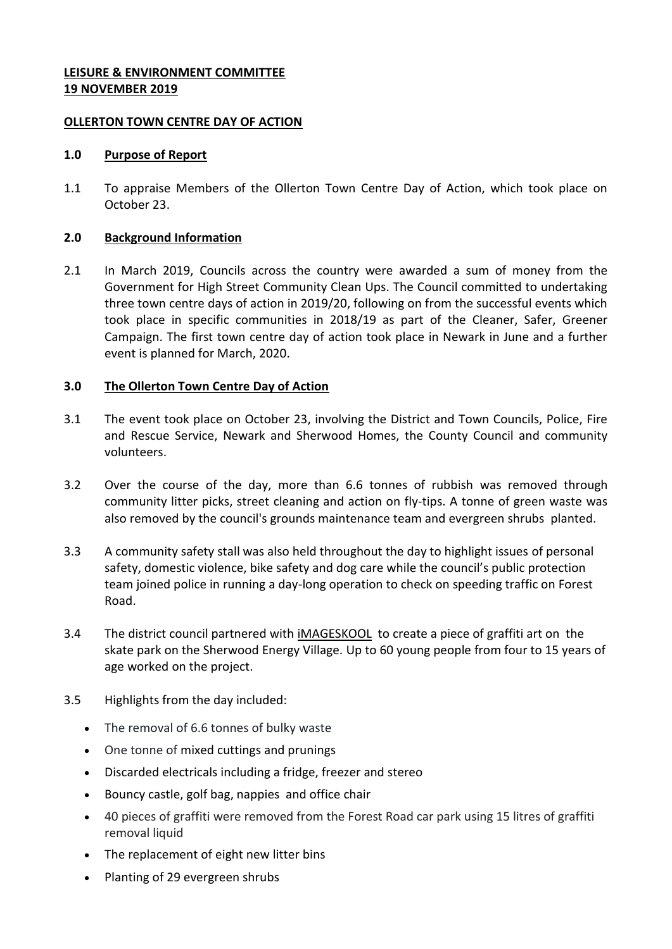### **LEISURE & ENVIRONMENT COMMITTEE 19 NOVEMBER 2019**

### **OLLERTON TOWN CENTRE DAY OF ACTION**

#### **1.0 Purpose of Report**

1.1 To appraise Members of the Ollerton Town Centre Day of Action, which took place on October 23.

### **2.0 Background Information**

2.1 In March 2019, Councils across the country were awarded a sum of money from the Government for High Street Community Clean Ups. The Council committed to undertaking three town centre days of action in 2019/20, following on from the successful events which took place in specific communities in 2018/19 as part of the Cleaner, Safer, Greener Campaign. The first town centre day of action took place in Newark in June and a further event is planned for March, 2020.

### **3.0 The Ollerton Town Centre Day of Action**

- 3.1 The event took place on October 23, involving the District and Town Councils, Police, Fire and Rescue Service, Newark and Sherwood Homes, the County Council and community volunteers.
- 3.2 Over the course of the day, more than 6.6 tonnes of rubbish was removed through community litter picks, street cleaning and action on fly-tips. A tonne of green waste was also removed by the council's grounds maintenance team and evergreen shrubs planted.
- 3.3 A community safety stall was also held throughout the day to highlight issues of personal safety, domestic violence, bike safety and dog care while the council's public protection team joined police in running a day-long operation to check on speeding traffic on Forest Road.
- 3.4 The district council partnered with *[iMAGESKOOL](https://www.facebook.com/imageskool/?__tn__=K-R&eid=ARDFCKTMg2Sc5mFF_6uOcirQU6jORfJTKfUUFBrBieRCUC25w4HKtZxqzYcI26PPIwXIqWhHEqw1QW7i&fref=mentions&__xts__%5B0%5D=68.ARD5IXAFh9BDqYUrczmk7gyANfTTAV4T5svisIzxu5hrDQ69FUE4Zc2vJAWASjBomM3bbEKiQYPkDZ8Kk7hEo-vaRcCtQ_dnNgMy-0dZCKeFYDIN23LqxftYglrxRdALZzRp-zuzmwo02Uzhj0cjtiodTmKbLXpolf1PtYxK8yvq0Zq5nNG3NVIL2glUGsB3liYVJ9aIOZ_1SwhAwbdqnEChXkku9pyATgrAJSpHp1WHPk2v0I4FDfQ6f5JvZPHFXbu4p2M3T5T-O8ylyebolqq6B0aC11FL11BO6Oe17ZPDCj3_AlsMeRYG7yQ8JepzYQHJJjPvzdGWltA6CDCp1WKS5A)* to create a piece of graffiti art on the skate park on the Sherwood Energy Village. Up to 60 young people from four to 15 years of age worked on the project.
- 3.5 Highlights from the day included:
	- The removal of 6.6 tonnes of bulky waste
	- One tonne of mixed cuttings and prunings
	- Discarded electricals including a fridge, freezer and stereo
	- Bouncy castle, golf bag, nappies and office chair
	- 40 pieces of graffiti were removed from the Forest Road car park using 15 litres of graffiti removal liquid
	- The replacement of eight new litter bins
	- Planting of 29 evergreen shrubs